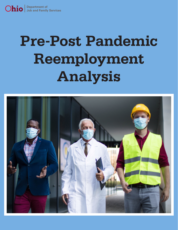# **Pre-Post Pandemic Reemployment Analysis**

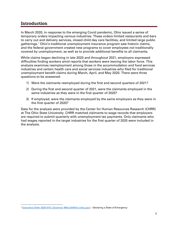# Introduction

In March 2020, in response to the emerging Covid pandemic, Ohio issued a series of temporary orders impacting various industries. These orders limited restaurants and bars to carry out and delivery services, closed child day care facilities, and limited large public gatherings.[1](#page-1-0) Ohio's traditional unemployment insurance program saw historic claims, and the federal government created new programs to cover employees not traditionally covered by unemployment, as well as to provide additional benefits to all claimants.

While claims began declining in late 2020 and throughout 2021, employers expressed difficulties finding workers amid reports that workers were leaving the labor force. This analysis examines reemployment among those in the accommodation and food services industries and certain health care and social services industries who filed for traditional unemployment benefit claims during March, April, and May 2020. There were three questions to be answered:

- 1) Were the claimants reemployed during the first and second quarters of 2021?
- 2) During the first and second quarter of 2021, were the claimants employed in the same industries as they were in the first quarter of 2020?
- 3) If employed, were the claimants employed by the same employers as they were in the first quarter of 2020?

Data for the analysis were provided by the Center for Human Resources Research (CHRR) at The Ohio State University. CHRR matched claimants to wage records that employers are required to submit quarterly with unemployment tax payments. Only claimants who had wages reported in the target industries for the first quarter of 2020 were included in the analysis.

<span id="page-1-0"></span><sup>&</sup>lt;sup>1</sup> [Executive Order 2020-01D | Governor Mike DeWine \(ohio.gov\)](https://governor.ohio.gov/wps/portal/gov/governor/media/executive-orders/executive-order-2020-01-d) - Declaring a State of Emergency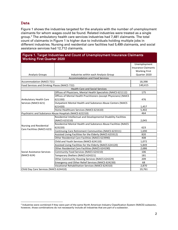### Data

Figure 1 shows the industries targeted for the analysis with the number of unemployment claimants for whom wages could be found. Related industries were treated as a single group.[2](#page-2-0) The ambulatory health care services industries had 7,481 claimants. The total count of claimants in Figure 1 is higher due to individuals holding multiple jobs in different industries. Nursing and residential care facilities had 5,499 claimants, and social assistance services had 12,712 claimants.

#### Figure 1. Target Industries and Count of Unemployment Insurance Claimants Working First Quarter 2020

|                                                        |                                                                   | Unemployment               |  |  |  |  |  |  |
|--------------------------------------------------------|-------------------------------------------------------------------|----------------------------|--|--|--|--|--|--|
|                                                        |                                                                   | <b>Insurance Claimants</b> |  |  |  |  |  |  |
|                                                        |                                                                   | <b>Working First</b>       |  |  |  |  |  |  |
| <b>Analysis Groups</b>                                 | Industries within each Analysis Group                             | Quarter 2020               |  |  |  |  |  |  |
| Accommodation and Food Services                        |                                                                   |                            |  |  |  |  |  |  |
| <b>Accommodation (NAICS 721)</b>                       | 18,398                                                            |                            |  |  |  |  |  |  |
| Food Services and Drinking Places (NAICS 722)          | 140,415                                                           |                            |  |  |  |  |  |  |
|                                                        | <b>Health Care and Social Services</b>                            |                            |  |  |  |  |  |  |
| Ambulatory Health Care                                 | Offices of Physicians, Mental Health Specialists (NAICS 621112)   | 175                        |  |  |  |  |  |  |
|                                                        | Offices of Mental Health Practitioners (except Physicians) (NAICS |                            |  |  |  |  |  |  |
|                                                        | 621330)                                                           | 476                        |  |  |  |  |  |  |
| Services (NAICS 621)                                   | Outpatient Mental Health and Substance Abuse Centers (NAICS       |                            |  |  |  |  |  |  |
|                                                        | 621420)                                                           | 1,457                      |  |  |  |  |  |  |
|                                                        | Home Healthcare Services (NAICS 621610)                           | 5,402                      |  |  |  |  |  |  |
|                                                        | Psychiatric and Substance Abuse Hospitals (NAICS 622210)          | 464                        |  |  |  |  |  |  |
|                                                        | Residential Intellectual and Developmental Disability Facilities  |                            |  |  |  |  |  |  |
|                                                        | (NAICS 623210)                                                    | 2,045                      |  |  |  |  |  |  |
|                                                        | Residential Mental Health and Substance Abuse Facilities (NAICS   |                            |  |  |  |  |  |  |
| Nursing and Residential<br>Care Facilities (NAICS 623) | 623220)                                                           | 623                        |  |  |  |  |  |  |
|                                                        | Continuing Care Retirement Communities (NAICS 623311)             | 1,690                      |  |  |  |  |  |  |
|                                                        | Assisted Living Facilities for the Elderly (NAICS 623312)         | 820                        |  |  |  |  |  |  |
|                                                        | Other Residential Care Facilities (NAICS 623990)                  | 408                        |  |  |  |  |  |  |
| Social Assistance Services<br>(NAICS 624)              | Child and Youth Services (NAICS 624110)                           | 1,072                      |  |  |  |  |  |  |
|                                                        | Assisted Living Facilities for the Elderly (NAICS 624120)         | 5,849                      |  |  |  |  |  |  |
|                                                        | Other Residential Care Facilities (NAICS 624190)                  | 2,686                      |  |  |  |  |  |  |
|                                                        | Community Food Services (NAICS 624210)                            | 106                        |  |  |  |  |  |  |
|                                                        | Temporary Shelters (NAICS 624221)                                 | 181                        |  |  |  |  |  |  |
|                                                        | Other Community Housing Services (NAICS 624229)                   | 209                        |  |  |  |  |  |  |
|                                                        | Emergency and Other Relief Services (NAICS 624230)                | 68                         |  |  |  |  |  |  |
|                                                        | Vocational Rehabilitation Services (NAICS 624310)                 | 2,870                      |  |  |  |  |  |  |
| Child Day Care Services (NAICS 624410)                 | 19,761                                                            |                            |  |  |  |  |  |  |

<span id="page-2-0"></span><sup>&</sup>lt;sup>2</sup> Industries were combined if they were part of the same North American Industry Classification System (NAICS) subsector, however, those combinations do not necessarily include all industries that are part of a subsector.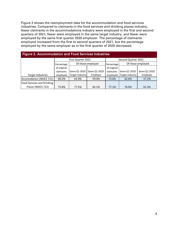Figure 2 shows the reemployment data for the accommodation and food services industries. Compared to claimants in the food services and drinking places industry, fewer claimants in the accommodations industry were employed in the first and second quarters of 2021, fewer were employed in the same target industry, and fewer were employed by the same first quarter 2020 employer. The percentage of claimants employed increased from the first to second quarters of 2021, but the percentage employed by the same employer as in the first quarter of 2020 decreased.

| <b>Figure 2. Accommodation and Food Services Industries</b> |                                 |                 |                                 |                     |                 |              |  |  |  |
|-------------------------------------------------------------|---------------------------------|-----------------|---------------------------------|---------------------|-----------------|--------------|--|--|--|
|                                                             | First Quarter 2021              |                 |                                 | Second Quarter 2021 |                 |              |  |  |  |
|                                                             | Of those employed<br>Percentage |                 | Of those employed<br>Percentage |                     |                 |              |  |  |  |
|                                                             | of original                     |                 |                                 | of original         |                 |              |  |  |  |
|                                                             | claimants                       | Same Q1 2020    | Same Q1 2020                    | claimants           | Same Q1 2020    | Same Q1 2020 |  |  |  |
| <b>Target Industries</b>                                    | employed                        | Target Industry | Employer                        | employed            | Target Industry | Employer     |  |  |  |
| Accomodation (NAICS 721)                                    | 69.2%                           | 61.9%           | 59.4%                           | 72.6%               | 62.6%           | 57.2%        |  |  |  |
| Food Services and Drinking                                  |                                 |                 |                                 |                     |                 |              |  |  |  |
| Places (NAICS 722)                                          | 75.8%                           | 77.5%           | 65.1%                           | 77.1%               | 76.0%           | 61.3%        |  |  |  |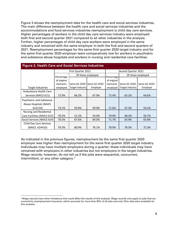Figure 3 shows the reemployment data for the health care and social services industries. The main difference between the health care and social services industries and the accommodations and food services industries reemployment is child day care services. Higher percentages of workers in the child day care services industry were employed both first and second quarter 2021 compared to all other industries in the analysis. Further, higher percentages of child day care workers were employed in the same industry and remained with the same employer in both the first and second quarters of 2021. Reemployment percentages for the same first quarter 2020 target industry and for the same first quarter 2020 employer were comparatively low for workers in psychiatric and substance abuse hospitals and workers in nursing and residential care facilities.

| <b>Figure 3. Health Care and Social Services Industries</b> |                    |                   |              |                     |                   |              |  |  |  |
|-------------------------------------------------------------|--------------------|-------------------|--------------|---------------------|-------------------|--------------|--|--|--|
|                                                             | First Quarter 2021 |                   |              | Second Quarter 2021 |                   |              |  |  |  |
|                                                             | Percentage         | Of those employed |              | Percentage          | Of those employed |              |  |  |  |
|                                                             | of original        |                   |              | of original         |                   |              |  |  |  |
|                                                             | claimants          | Same Q1 2020      | Same Q1 2020 | claimants           | Same Q1 2020      | Same Q1 2020 |  |  |  |
| Target Industries                                           | employed           | Target Industry   | Employer     | employed            | Target Industry   | Employer     |  |  |  |
| Ambulatory Health Care                                      |                    |                   |              |                     |                   |              |  |  |  |
| Services (NAICS 621)                                        | 72.9%              | 66.2%             | 67.9%        | 72.4%               | 63.2%             | 64.6%        |  |  |  |
| Psychiatric and Substance                                   |                    |                   |              |                     |                   |              |  |  |  |
| <b>Abuse Hospitals (NAICS</b>                               |                    |                   |              |                     |                   |              |  |  |  |
| 622210)                                                     | 74.1%              | 50.9%             | 59.0%        | 71.6%               | 47.3%             | 54.2%        |  |  |  |
| Nursing and Residential                                     |                    |                   |              |                     |                   |              |  |  |  |
| Care Facilities (NAICS 623)                                 | 70.2%              | 51.2%             | 54.0%        | 70.9%               | 48.3%             | 50.7%        |  |  |  |
| Social Services (NAICS 624)                                 | 70.5%              | 67.6%             | 69.0%        | 71.7%               | 63.9%             | 65.8%        |  |  |  |
| Child Day Care Services                                     |                    |                   |              |                     |                   |              |  |  |  |
| (NAICS 624410)                                              | 79.3%              | 80.9%             | 76.1%        | 78.9%               | 78.3%             | 72.3%        |  |  |  |

As indicated in the previous figures, reemployment by the same first quarter 2020 employer was higher than reemployment for the same first quarter 2020 target industry. Individuals may have multiple employers during a quarter; these individuals may have remained with employers in other industries but not employers in the target industries. Wage records, however, do not tell us if the jobs were sequential, concurrent, intermittent, or any other category.<sup>[3](#page-4-0)</sup>

<span id="page-4-0"></span><sup>&</sup>lt;sup>3</sup> Wage records have other limitations that could affect the results of this analysis. Wage records only apply to jobs that are covered by unemployment insurance, which accounts for more than 95% of all jobs and only Ohio data were available for this analysis.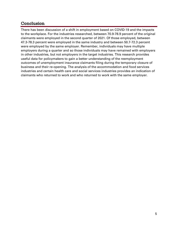# Conclusion

There has been discussion of a shift in employment based on COVID-19 and the impacts to the workplace. For the industries researched, between 70.9-78.9 percent of the original claimants were employed in the second quarter of 2021. Of those employed, between 47.3-78.3 percent were employed in the same industry and between 50.7-72.3 percent were employed by the same employer. Remember, individuals may have multiple employers during a quarter and so those individuals may have remained with employers in other industries, but not employers in the target industries. This research provides useful data for policymakers to gain a better understanding of the reemployment outcomes of unemployment insurance claimants filing during the temporary closure of business and their re-opening. The analysis of the accommodation and food services industries and certain health care and social services industries provides an indication of claimants who returned to work and who returned to work with the same employer.